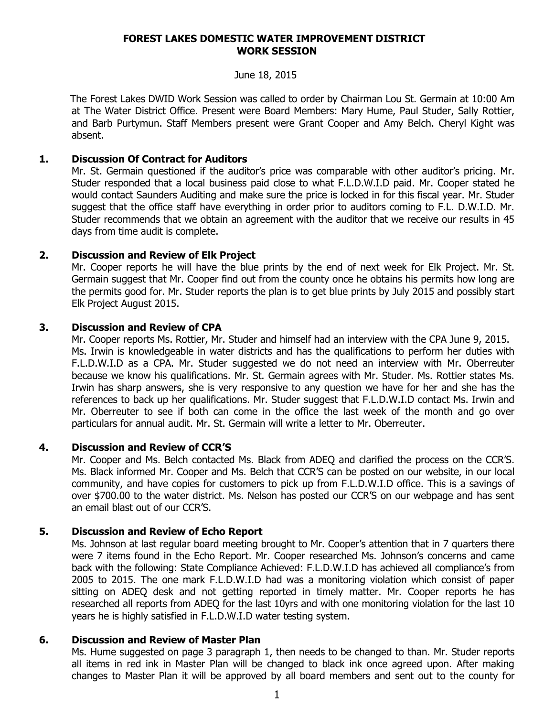#### **FOREST LAKES DOMESTIC WATER IMPROVEMENT DISTRICT WORK SESSION**

#### June 18, 2015

 The Forest Lakes DWID Work Session was called to order by Chairman Lou St. Germain at 10:00 Am at The Water District Office. Present were Board Members: Mary Hume, Paul Studer, Sally Rottier, and Barb Purtymun. Staff Members present were Grant Cooper and Amy Belch. Cheryl Kight was absent.

### **1. Discussion Of Contract for Auditors**

Mr. St. Germain questioned if the auditor's price was comparable with other auditor's pricing. Mr. Studer responded that a local business paid close to what F.L.D.W.I.D paid. Mr. Cooper stated he would contact Saunders Auditing and make sure the price is locked in for this fiscal year. Mr. Studer suggest that the office staff have everything in order prior to auditors coming to F.L. D.W.I.D. Mr. Studer recommends that we obtain an agreement with the auditor that we receive our results in 45 days from time audit is complete.

# **2. Discussion and Review of Elk Project**

Mr. Cooper reports he will have the blue prints by the end of next week for Elk Project. Mr. St. Germain suggest that Mr. Cooper find out from the county once he obtains his permits how long are the permits good for. Mr. Studer reports the plan is to get blue prints by July 2015 and possibly start Elk Project August 2015.

### **3. Discussion and Review of CPA**

Mr. Cooper reports Ms. Rottier, Mr. Studer and himself had an interview with the CPA June 9, 2015. Ms. Irwin is knowledgeable in water districts and has the qualifications to perform her duties with F.L.D.W.I.D as a CPA. Mr. Studer suggested we do not need an interview with Mr. Oberreuter because we know his qualifications. Mr. St. Germain agrees with Mr. Studer. Ms. Rottier states Ms. Irwin has sharp answers, she is very responsive to any question we have for her and she has the references to back up her qualifications. Mr. Studer suggest that F.L.D.W.I.D contact Ms. Irwin and Mr. Oberreuter to see if both can come in the office the last week of the month and go over particulars for annual audit. Mr. St. Germain will write a letter to Mr. Oberreuter.

### **4. Discussion and Review of CCR'S**

Mr. Cooper and Ms. Belch contacted Ms. Black from ADEQ and clarified the process on the CCR'S. Ms. Black informed Mr. Cooper and Ms. Belch that CCR'S can be posted on our website, in our local community, and have copies for customers to pick up from F.L.D.W.I.D office. This is a savings of over \$700.00 to the water district. Ms. Nelson has posted our CCR'S on our webpage and has sent an email blast out of our CCR'S.

### **5. Discussion and Review of Echo Report**

Ms. Johnson at last regular board meeting brought to Mr. Cooper's attention that in 7 quarters there were 7 items found in the Echo Report. Mr. Cooper researched Ms. Johnson's concerns and came back with the following: State Compliance Achieved: F.L.D.W.I.D has achieved all compliance's from 2005 to 2015. The one mark F.L.D.W.I.D had was a monitoring violation which consist of paper sitting on ADEQ desk and not getting reported in timely matter. Mr. Cooper reports he has researched all reports from ADEQ for the last 10yrs and with one monitoring violation for the last 10 years he is highly satisfied in F.L.D.W.I.D water testing system.

### **6. Discussion and Review of Master Plan**

Ms. Hume suggested on page 3 paragraph 1, then needs to be changed to than. Mr. Studer reports all items in red ink in Master Plan will be changed to black ink once agreed upon. After making changes to Master Plan it will be approved by all board members and sent out to the county for